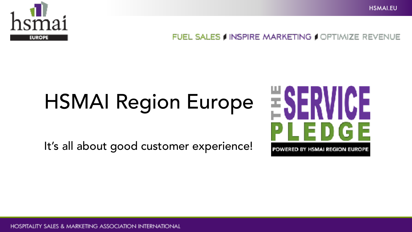

# HSMAI Region Europe

It's all about good customer experience!

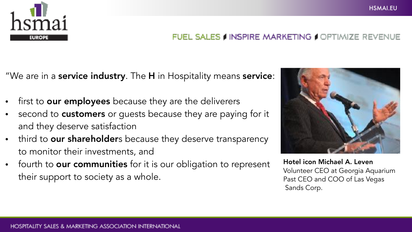

"We are in a **service industry**. The **H** in Hospitality means **service**:

- first to **our employees** because they are the deliverers
- second to **customers** or quests because they are paying for it and they deserve satisfaction
- third to **our shareholder**s because they deserve transparency to monitor their investments, and
- fourth to **our communities** for it is our obligation to represent their support to society as a whole.



Hotel icon Michael A. Leven Volunteer CEO at Georgia Aquarium Past CEO and COO of Las Vegas Sands Corp.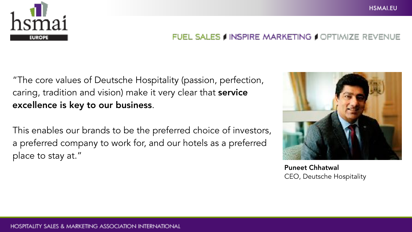

"The core values of Deutsche Hospitality (passion, perfection, caring, tradition and vision) make it very clear that **service** excellence is key to our business.

This enables our brands to be the preferred choice of investors, a preferred company to work for, and our hotels as a preferred place to stay at."



Puneet Chhatwal CEO, Deutsche Hospitality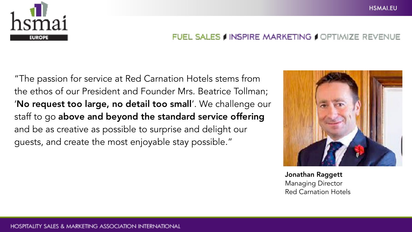

#### HSMAI.EU

#### FUEL SALES I INSPIRE MARKETING I OPTIMIZE REVENUE

"The passion for service at Red Carnation Hotels stems from the ethos of our President and Founder Mrs. Beatrice Tollman; 'No request too large, no detail too small'. We challenge our staff to go above and beyond the standard service offering and be as creative as possible to surprise and delight our guests, and create the most enjoyable stay possible."



Jonathan Raggett Managing Director Red Carnation Hotels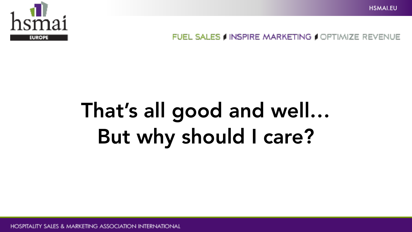

## That's all good and well… But why should I care?

**HOSPITALITY SALES & MARKETING ASSOCIATION INTERNATIONAL**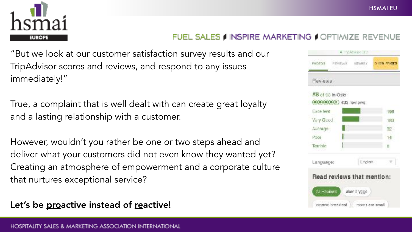

"But we look at our customer satisfaction survey results and our TripAdvisor scores and reviews, and respond to any issues immediately!"

True, a complaint that is well dealt with can create great loyalty and a lasting relationship with a customer.

However, wouldn't you rather be one or two steps ahead and deliver what your customers did not even know they wanted yet? Creating an atmosphere of empowerment and a corporate culture that nurtures exceptional service?

### Let's be proactive instead of reactive!

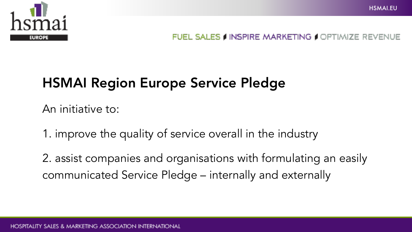

## HSMAI Region Europe Service Pledge

An initiative to:

1. improve the quality of service overall in the industry

2. assist companies and organisations with formulating an easily communicated Service Pledge – internally and externally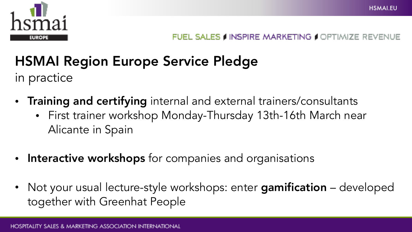

**HSMAIFU** 

## HSMAI Region Europe Service Pledge

in practice

- Training and certifying internal and external trainers/consultants
	- First trainer workshop Monday-Thursday 13th-16th March near Alicante in Spain
- Interactive workshops for companies and organisations
- Not your usual lecture-style workshops: enter gamification developed together with Greenhat People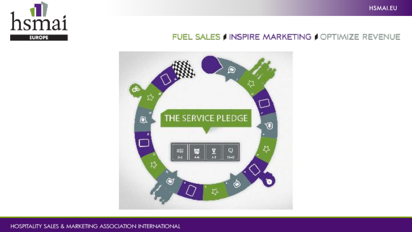





#### HOSPITALITY SALES & MARKETING ASSOCIATION INTERNATIONAL